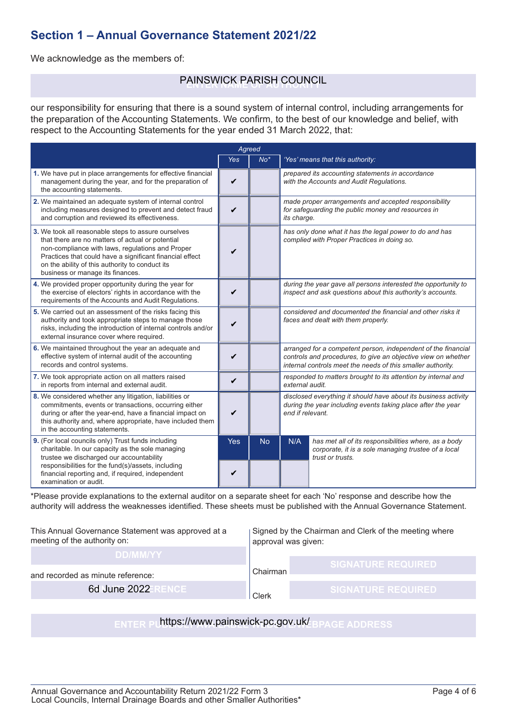### **Section 1 – Annual Governance Statement 2021/22**

We acknowledge as the members of:

# PAINSWICK PARISH COUNCIL

our responsibility for ensuring that there is a sound system of internal control, including arrangements for the preparation of the Accounting Statements. We confirm, to the best of our knowledge and belief, with respect to the Accounting Statements for the year ended 31 March 2022, that:

|                                                                                                                                                                                                                                                                                                                | Agreed             |           |                                                                                                                                                                                               |                                                                                                                                 |
|----------------------------------------------------------------------------------------------------------------------------------------------------------------------------------------------------------------------------------------------------------------------------------------------------------------|--------------------|-----------|-----------------------------------------------------------------------------------------------------------------------------------------------------------------------------------------------|---------------------------------------------------------------------------------------------------------------------------------|
|                                                                                                                                                                                                                                                                                                                | <b>Yes</b>         | $No*$     |                                                                                                                                                                                               | 'Yes' means that this authority:                                                                                                |
| 1. We have put in place arrangements for effective financial<br>management during the year, and for the preparation of<br>the accounting statements.                                                                                                                                                           | V                  |           |                                                                                                                                                                                               | prepared its accounting statements in accordance<br>with the Accounts and Audit Regulations.                                    |
| 2. We maintained an adequate system of internal control<br>including measures designed to prevent and detect fraud<br>and corruption and reviewed its effectiveness.                                                                                                                                           | V                  |           | its charge.                                                                                                                                                                                   | made proper arrangements and accepted responsibility<br>for safeguarding the public money and resources in                      |
| 3. We took all reasonable steps to assure ourselves<br>that there are no matters of actual or potential<br>non-compliance with laws, regulations and Proper<br>Practices that could have a significant financial effect<br>on the ability of this authority to conduct its<br>business or manage its finances. | V                  |           |                                                                                                                                                                                               | has only done what it has the legal power to do and has<br>complied with Proper Practices in doing so.                          |
| 4. We provided proper opportunity during the year for<br>the exercise of electors' rights in accordance with the<br>requirements of the Accounts and Audit Regulations.                                                                                                                                        | V                  |           |                                                                                                                                                                                               | during the year gave all persons interested the opportunity to<br>inspect and ask questions about this authority's accounts.    |
| 5. We carried out an assessment of the risks facing this<br>authority and took appropriate steps to manage those<br>risks, including the introduction of internal controls and/or<br>external insurance cover where required.                                                                                  | ✓                  |           |                                                                                                                                                                                               | considered and documented the financial and other risks it<br>faces and dealt with them properly.                               |
| 6. We maintained throughout the year an adequate and<br>effective system of internal audit of the accounting<br>records and control systems.                                                                                                                                                                   | V                  |           | arranged for a competent person, independent of the financial<br>controls and procedures, to give an objective view on whether<br>internal controls meet the needs of this smaller authority. |                                                                                                                                 |
| 7. We took appropriate action on all matters raised<br>in reports from internal and external audit.                                                                                                                                                                                                            | V                  |           | responded to matters brought to its attention by internal and<br>external audit.                                                                                                              |                                                                                                                                 |
| 8. We considered whether any litigation, liabilities or<br>commitments, events or transactions, occurring either<br>during or after the year-end, have a financial impact on<br>this authority and, where appropriate, have included them<br>in the accounting statements.                                     | $\boldsymbol{\nu}$ |           | disclosed everything it should have about its business activity<br>during the year including events taking place after the year<br>end if relevant.                                           |                                                                                                                                 |
| 9. (For local councils only) Trust funds including<br>charitable. In our capacity as the sole managing<br>trustee we discharged our accountability<br>responsibilities for the fund(s)/assets, including<br>financial reporting and, if required, independent<br>examination or audit.                         | <b>Yes</b><br>✔    | <b>No</b> | N/A                                                                                                                                                                                           | has met all of its responsibilities where, as a body<br>corporate, it is a sole managing trustee of a local<br>trust or trusts. |

\*Please provide explanations to the external auditor on a separate sheet for each 'No' response and describe how the authority will address the weaknesses identified. These sheets must be published with the Annual Governance Statement.

| This Annual Governance Statement was approved at a<br>meeting of the authority on: | Signed by the Chairman and Clerk of the meeting where<br>approval was given: |                           |  |  |  |  |
|------------------------------------------------------------------------------------|------------------------------------------------------------------------------|---------------------------|--|--|--|--|
| <b>DD/MM/YY</b>                                                                    |                                                                              |                           |  |  |  |  |
| and recorded as minute reference:<br>6d June 2022<br><b>RENCE</b>                  | Chairman                                                                     | <b>SIGNATURE REQUIRED</b> |  |  |  |  |
|                                                                                    | Clerk                                                                        | <b>SIGNATURE REQUIRED</b> |  |  |  |  |
|                                                                                    |                                                                              |                           |  |  |  |  |
| https://www.painswick-pc.gov.uk/<br><b>PAGE ADDRESS</b><br><b>ENTER P</b>          |                                                                              |                           |  |  |  |  |